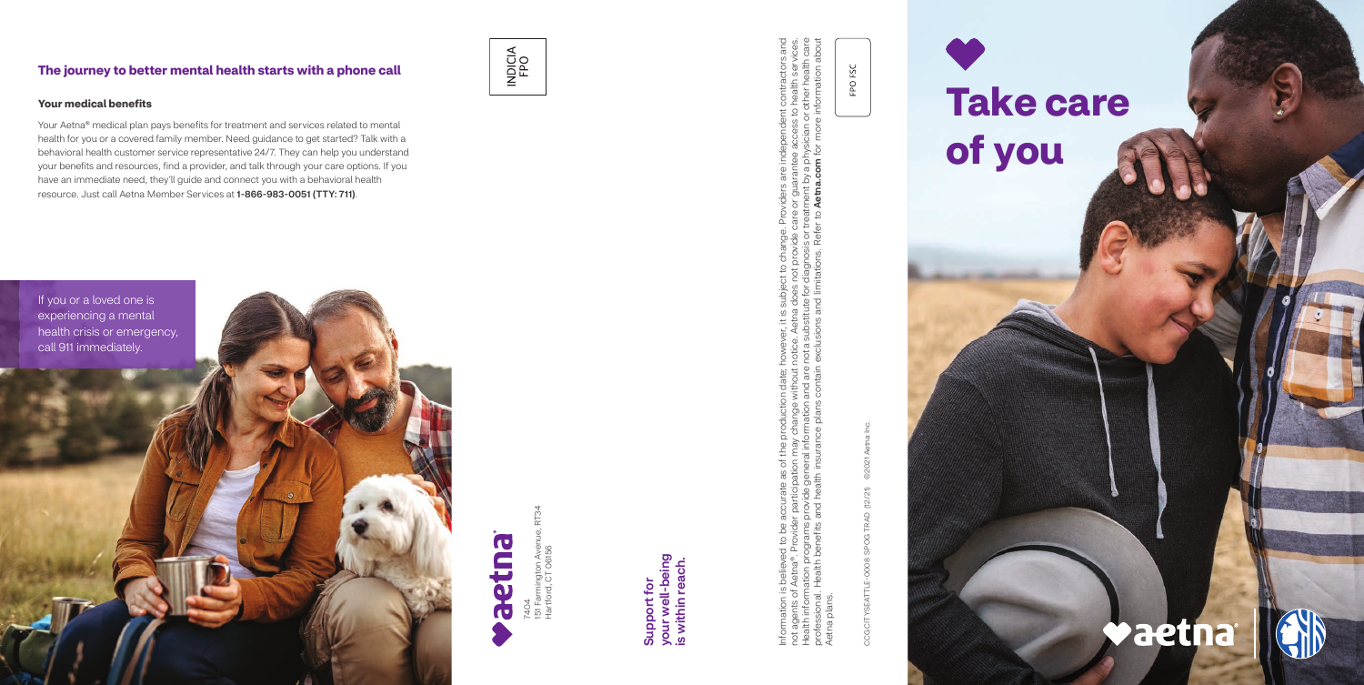7404<br>151 Farmington Aven<br>Hartford, CT 06156 151 Farmington Avenue, RT34 Hartford, CT 06156

Information is believed to be accurate as of the production date; however, it is subject to change. Providers are independent contractors and not agents of Aetna®. Provider participation may change without notice. Aetna does not provide care or guarantee access to health services. Health information programs provide general information and are not a substitute for diagnosis or treatment by a physician or other health care professional. Health benefits and health insurance plans contain exclusions and limitations. Refer to Aetna.com for more information about ge. Providers are independent contractors and<br>te care or guarantee access to health services.<br>or treatment by a physician or other health care<br>efer to **Aetna.com** for more information about Joject to change. Provi<br>loes not provide care o<br>a for diagnosis or treatm<br>1 limitations. Refer to **A** e. Aetna do<br>ubstitute f Information is believed to be accurate as of the production date; howe<br>not agents of Aetna®. Provider participation may change without notice<br>Health information programs provide general information and are not a<br>profession Aetna plans. plans Aetna

your well-being<br>is within reach. your well-being is within reach. Support for Support for

CCG CITYSEATTLE-0008 SPOG TRAD (12/21) ©2021 Aetna Inc. 02021 SPOG TRAD (12/21) CCG CITYSEATTLE-0008

FPO FSC

### **The journey to better mental health starts with a phone call**

# INDICIA<br>FPO





### **Your medical benefits**

Your Aetna® medical plan pays benefits for treatment and services related to mental health for you or a covered family member. Need guidance to get started? Talk with a behavioral health customer service representative 24/7. They can help you understand your benefits and resources, find a provider, and talk through your care options. If you have an immediate need, they'll guide and connect you with a behavioral health resource. Just call Aetna Member Services at 1-866-983-0051 (TTY: 711).

## **Take care of you**

## **Vaetna**